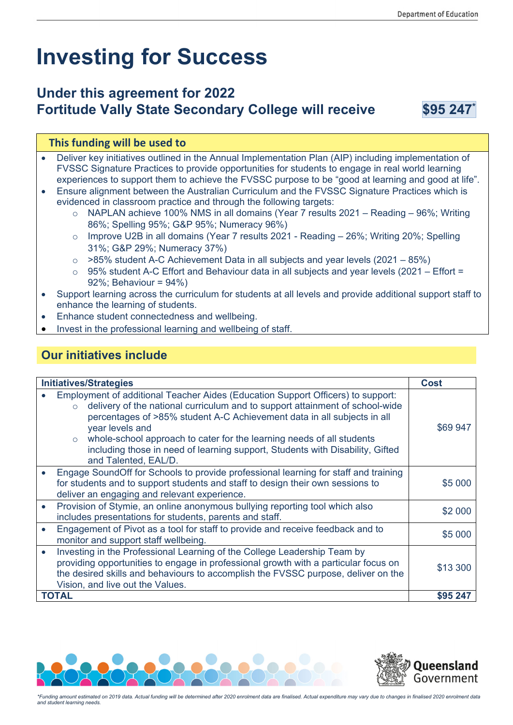# **Investing for Success**

## **Under this agreement for 2022 Fortitude Vally State Secondary College will receive \$95 247\***

#### **This funding will be used to**

- Deliver key initiatives outlined in the Annual Implementation Plan (AIP) including implementation of FVSSC Signature Practices to provide opportunities for students to engage in real world learning experiences to support them to achieve the FVSSC purpose to be "good at learning and good at life".
- Ensure alignment between the Australian Curriculum and the FVSSC Signature Practices which is evidenced in classroom practice and through the following targets:
	- o NAPLAN achieve 100% NMS in all domains (Year 7 results 2021 Reading 96%; Writing 86%; Spelling 95%; G&P 95%; Numeracy 96%)
	- $\circ$  Improve U2B in all domains (Year 7 results 2021 Reading  $-$  26%; Writing 20%; Spelling 31%; G&P 29%; Numeracy 37%)
	- $\circ$  >85% student A-C Achievement Data in all subjects and year levels (2021 85%)
	- $\circ$  95% student A-C Effort and Behaviour data in all subjects and year levels (2021 Effort = 92%; Behaviour = 94%)
- Support learning across the curriculum for students at all levels and provide additional support staff to enhance the learning of students.
- Enhance student connectedness and wellbeing.
- Invest in the professional learning and wellbeing of staff.

### **Our initiatives include**

| <b>Initiatives/Strategies</b> |                                                                                                                                                                                                                                                                                                                                                                                                                                                                       | Cost     |
|-------------------------------|-----------------------------------------------------------------------------------------------------------------------------------------------------------------------------------------------------------------------------------------------------------------------------------------------------------------------------------------------------------------------------------------------------------------------------------------------------------------------|----------|
|                               | Employment of additional Teacher Aides (Education Support Officers) to support:<br>delivery of the national curriculum and to support attainment of school-wide<br>$\circ$<br>percentages of >85% student A-C Achievement data in all subjects in all<br>year levels and<br>whole-school approach to cater for the learning needs of all students<br>$\circ$<br>including those in need of learning support, Students with Disability, Gifted<br>and Talented, EAL/D. | \$69 947 |
|                               | Engage SoundOff for Schools to provide professional learning for staff and training<br>for students and to support students and staff to design their own sessions to<br>deliver an engaging and relevant experience.                                                                                                                                                                                                                                                 | \$5 000  |
|                               | Provision of Stymie, an online anonymous bullying reporting tool which also<br>includes presentations for students, parents and staff.                                                                                                                                                                                                                                                                                                                                | \$2 000  |
|                               | Engagement of Pivot as a tool for staff to provide and receive feedback and to<br>monitor and support staff wellbeing.                                                                                                                                                                                                                                                                                                                                                | \$5 000  |
|                               | Investing in the Professional Learning of the College Leadership Team by<br>providing opportunities to engage in professional growth with a particular focus on<br>the desired skills and behaviours to accomplish the FVSSC purpose, deliver on the<br>Vision, and live out the Values.                                                                                                                                                                              | \$13 300 |
| <b>TOTAL</b>                  |                                                                                                                                                                                                                                                                                                                                                                                                                                                                       | \$95 247 |